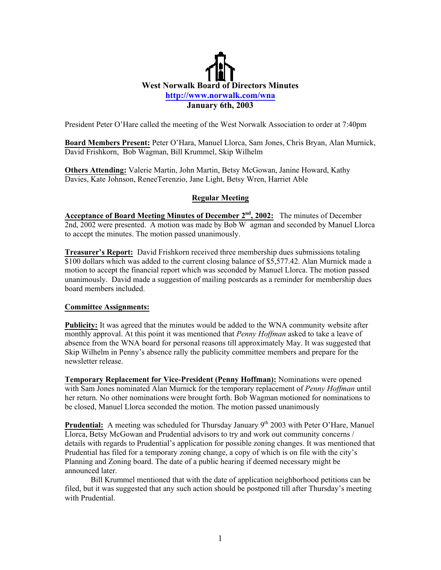## **West Norwalk Board of Directors Minutes <http://www.norwalk.com/wna> January 6th, 2003**

President Peter O'Hare called the meeting of the West Norwalk Association to order at 7:40pm

Board Members Present: Peter O'Hara, Manuel Llorca, Sam Jones, Chris Bryan, Alan Murnick, David Frishkorn, Bob Wagman, Bill Krummel, Skip Wilhelm

**Others Attending:** Valerie Martin, John Martin, Betsy McGowan, Janine Howard, Kathy Davies, Kate Johnson, ReneeTerenzio, Jane Light, Betsy Wren, Harriet Able

## **Regular Meeting**

**Acceptance of Board Meeting Minutes of December 2nd, 2002:** The minutes of December 2nd, 2002 were presented. A motion was made by Bob W agman and seconded by Manuel Llorca to accept the minutes. The motion passed unanimously.

**Treasurer's Report:** David Frishkorn received three membership dues submissions totaling \$100 dollars which was added to the current closing balance of \$5,577.42. Alan Murnick made a motion to accept the financial report which was seconded by Manuel Llorca. The motion passed unanimously. David made a suggestion of mailing postcards as a reminder for membership dues board members included.

## **Committee Assignments:**

**Publicity:** It was agreed that the minutes would be added to the WNA community website after monthly approval. At this point it was mentioned that *Penny Hoffman* asked to take a leave of absence from the WNA board for personal reasons till approximately May. It was suggested that Skip Wilhelm in Penny's absence rally the publicity committee members and prepare for the newsletter release.

**Temporary Replacement for Vice-President (Penny Hoffman):** Nominations were opened with Sam Jones nominated Alan Murnick for the temporary replacement of *Penny Hoffman* until her return. No other nominations were brought forth. Bob Wagman motioned for nominations to be closed, Manuel Llorca seconded the motion. The motion passed unanimously

**Prudential:** A meeting was scheduled for Thursday January 9<sup>th</sup> 2003 with Peter O'Hare, Manuel Llorca, Betsy McGowan and Prudential advisors to try and work out community concerns / details with regards to Prudential's application for possible zoning changes. It was mentioned that Prudential has filed for a temporary zoning change, a copy of which is on file with the city's Planning and Zoning board. The date of a public hearing if deemed necessary might be announced later.

Bill Krummel mentioned that with the date of application neighborhood petitions can be filed, but it was suggested that any such action should be postponed till after Thursday's meeting with Prudential